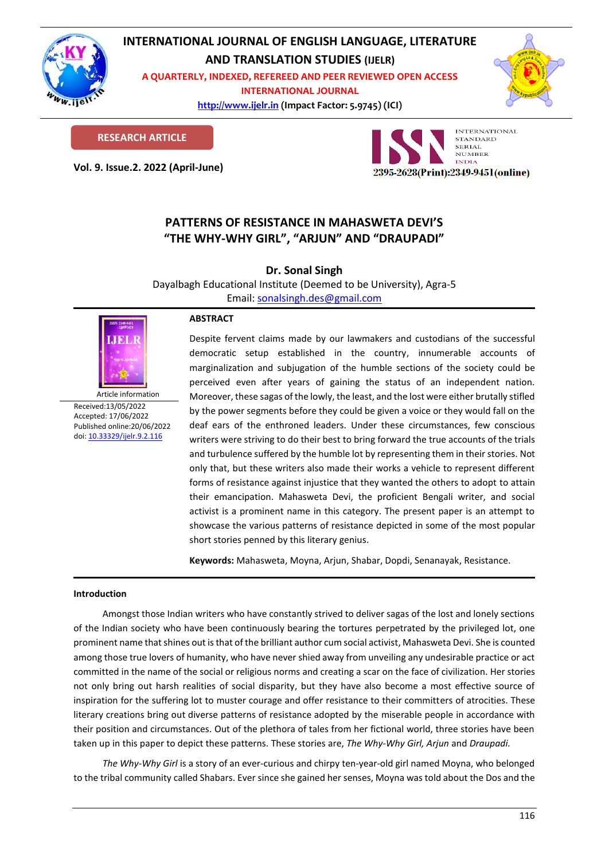

# **INTERNATIONAL JOURNAL OF ENGLISH LANGUAGE, LITERATURE**

**AND TRANSLATION STUDIES (IJELR)**

**A QUARTERLY, INDEXED, REFEREED AND PEER REVIEWED OPEN ACCESS INTERNATIONAL JOURNAL**

> **[http://www.ijelr.in](http://www.ijelr.in/) (Impact Factor: 5.9745) (ICI) KY PUBLICATIONS**



**RESEARCH ARTICLE**

**Vol. 9. Issue.2. 2022 (April-June) ARTICLE**



## **PATTERNS OF RESISTANCE IN MAHASWETA DEVI'S "THE WHY-WHY GIRL", "ARJUN" AND "DRAUPADI"**

**Dr. Sonal Singh**

Dayalbagh Educational Institute (Deemed to be University), Agra-5 Email: [sonalsingh.des@gmail.com](mailto:sonalsingh.des@gmail.com)



Article information Received:13/05/2022 Accepted: 17/06/2022 Published online:20/06/2022 [doi: 10.33329/ijelr.9.2.1](http://www.ijelr.in/)16

### **ABSTRACT**

Despite fervent claims made by our lawmakers and custodians of the successful democratic setup established in the country, innumerable accounts of marginalization and subjugation of the humble sections of the society could be perceived even after years of gaining the status of an independent nation. Moreover, these sagas of the lowly, the least, and the lost were either brutally stifled by the power segments before they could be given a voice or they would fall on the deaf ears of the enthroned leaders. Under these circumstances, few conscious writers were striving to do their best to bring forward the true accounts of the trials and turbulence suffered by the humble lot by representing them in their stories. Not only that, but these writers also made their works a vehicle to represent different forms of resistance against injustice that they wanted the others to adopt to attain their emancipation. Mahasweta Devi, the proficient Bengali writer, and social activist is a prominent name in this category. The present paper is an attempt to showcase the various patterns of resistance depicted in some of the most popular short stories penned by this literary genius.

**Keywords:** Mahasweta, Moyna, Arjun, Shabar, Dopdi, Senanayak, Resistance.

### **Introduction**

Amongst those Indian writers who have constantly strived to deliver sagas of the lost and lonely sections of the Indian society who have been continuously bearing the tortures perpetrated by the privileged lot, one prominent name that shines out is that of the brilliant author cum social activist, Mahasweta Devi. She is counted among those true lovers of humanity, who have never shied away from unveiling any undesirable practice or act committed in the name of the social or religious norms and creating a scar on the face of civilization. Her stories not only bring out harsh realities of social disparity, but they have also become a most effective source of inspiration for the suffering lot to muster courage and offer resistance to their committers of atrocities. These literary creations bring out diverse patterns of resistance adopted by the miserable people in accordance with their position and circumstances. Out of the plethora of tales from her fictional world, three stories have been taken up in this paper to depict these patterns. These stories are, *The Why-Why Girl, Arjun* and *Draupadi.*

The Why-Why Girl is a story of an ever-curious and chirpy ten-year-old girl named Moyna, who belonged to the tribal community called Shabars. Ever since she gained her senses, Moyna was told about the Dos and the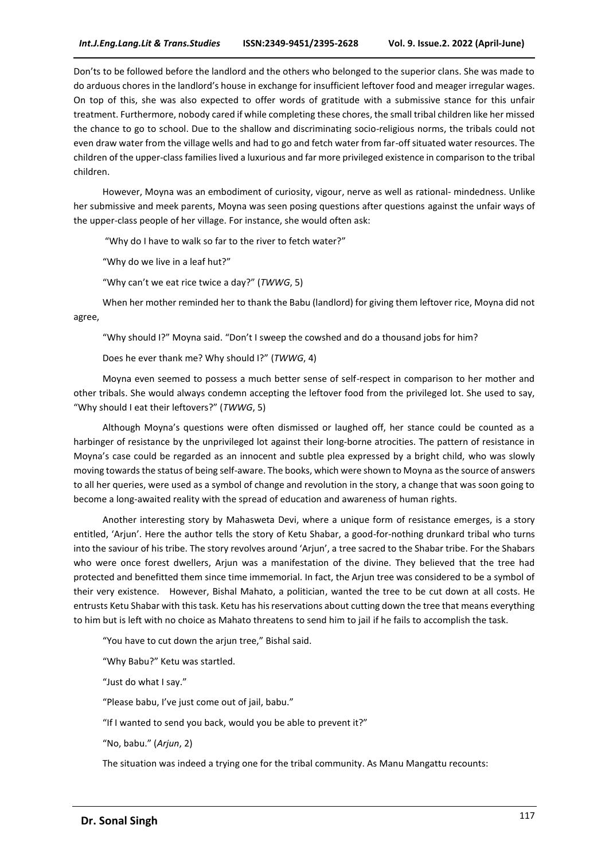Don'ts to be followed before the landlord and the others who belonged to the superior clans. She was made to do arduous chores in the landlord's house in exchange for insufficient leftover food and meager irregular wages. On top of this, she was also expected to offer words of gratitude with a submissive stance for this unfair treatment. Furthermore, nobody cared if while completing these chores, the small tribal children like her missed the chance to go to school. Due to the shallow and discriminating socio-religious norms, the tribals could not even draw water from the village wells and had to go and fetch water from far-off situated water resources. The children of the upper-class families lived a luxurious and far more privileged existence in comparison to the tribal children.

However, Moyna was an embodiment of curiosity, vigour, nerve as well as rational- mindedness. Unlike her submissive and meek parents, Moyna was seen posing questions after questions against the unfair ways of the upper-class people of her village. For instance, she would often ask:

"Why do I have to walk so far to the river to fetch water?"

"Why do we live in a leaf hut?"

"Why can't we eat rice twice a day?" (*TWWG*, 5)

When her mother reminded her to thank the Babu (landlord) for giving them leftover rice, Moyna did not agree,

"Why should I?" Moyna said. "Don't I sweep the cowshed and do a thousand jobs for him?

Does he ever thank me? Why should I?" (*TWWG*, 4)

Moyna even seemed to possess a much better sense of self-respect in comparison to her mother and other tribals. She would always condemn accepting the leftover food from the privileged lot. She used to say, "Why should I eat their leftovers?" (*TWWG*, 5)

Although Moyna's questions were often dismissed or laughed off, her stance could be counted as a harbinger of resistance by the unprivileged lot against their long-borne atrocities. The pattern of resistance in Moyna's case could be regarded as an innocent and subtle plea expressed by a bright child, who was slowly moving towards the status of being self-aware. The books, which were shown to Moyna as the source of answers to all her queries, were used as a symbol of change and revolution in the story, a change that was soon going to become a long-awaited reality with the spread of education and awareness of human rights.

Another interesting story by Mahasweta Devi, where a unique form of resistance emerges, is a story entitled, 'Arjun'. Here the author tells the story of Ketu Shabar, a good-for-nothing drunkard tribal who turns into the saviour of his tribe. The story revolves around 'Arjun', a tree sacred to the Shabar tribe. For the Shabars who were once forest dwellers, Arjun was a manifestation of the divine. They believed that the tree had protected and benefitted them since time immemorial. In fact, the Arjun tree was considered to be a symbol of their very existence. However, Bishal Mahato, a politician, wanted the tree to be cut down at all costs. He entrusts Ketu Shabar with this task. Ketu has his reservations about cutting down the tree that means everything to him but is left with no choice as Mahato threatens to send him to jail if he fails to accomplish the task.

"You have to cut down the arjun tree," Bishal said.

"Why Babu?" Ketu was startled.

"Just do what I say."

"Please babu, I've just come out of jail, babu."

"If I wanted to send you back, would you be able to prevent it?"

"No, babu." (*Arjun*, 2)

The situation was indeed a trying one for the tribal community. As Manu Mangattu recounts: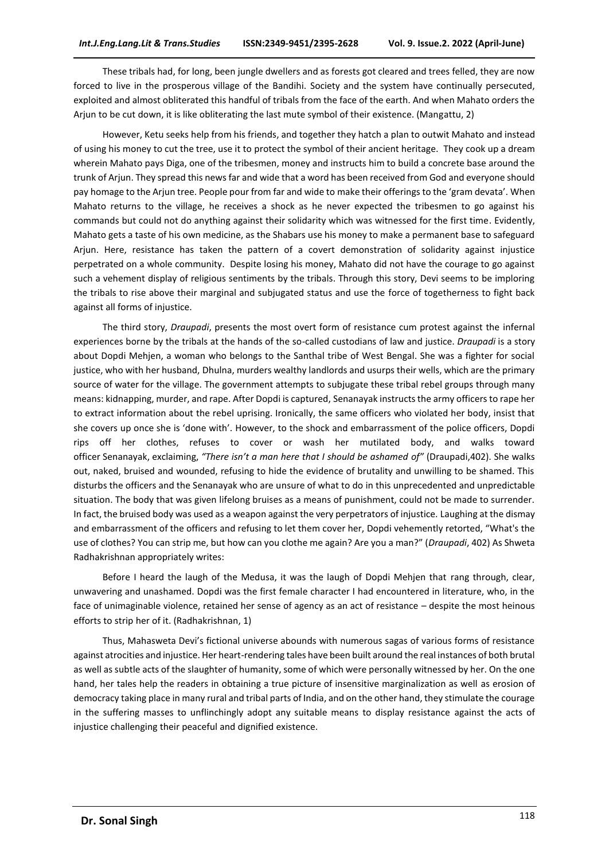These tribals had, for long, been jungle dwellers and as forests got cleared and trees felled, they are now forced to live in the prosperous village of the Bandihi. Society and the system have continually persecuted, exploited and almost obliterated this handful of tribals from the face of the earth. And when Mahato orders the Arjun to be cut down, it is like obliterating the last mute symbol of their existence. (Mangattu, 2)

However, Ketu seeks help from his friends, and together they hatch a plan to outwit Mahato and instead of using his money to cut the tree, use it to protect the symbol of their ancient heritage. They cook up a dream wherein Mahato pays Diga, one of the tribesmen, money and instructs him to build a concrete base around the trunk of Arjun. They spread this news far and wide that a word has been received from God and everyone should pay homage to the Arjun tree. People pour from far and wide to make their offerings to the 'gram devata'. When Mahato returns to the village, he receives a shock as he never expected the tribesmen to go against his commands but could not do anything against their solidarity which was witnessed for the first time. Evidently, Mahato gets a taste of his own medicine, as the Shabars use his money to make a permanent base to safeguard Arjun. Here, resistance has taken the pattern of a covert demonstration of solidarity against injustice perpetrated on a whole community. Despite losing his money, Mahato did not have the courage to go against such a vehement display of religious sentiments by the tribals. Through this story, Devi seems to be imploring the tribals to rise above their marginal and subjugated status and use the force of togetherness to fight back against all forms of injustice.

The third story, *Draupadi*, presents the most overt form of resistance cum protest against the infernal experiences borne by the tribals at the hands of the so-called custodians of law and justice. *Draupadi* is a story about Dopdi Mehjen, a woman who belongs to the Santhal tribe of West Bengal. She was a fighter for social justice, who with her husband, Dhulna, murders wealthy landlords and usurps their wells, which are the primary source of water for the village. The government attempts to subjugate these tribal rebel groups through many means: kidnapping, murder, and rape. After Dopdi is captured, Senanayak instructs the army officers to rape her to extract information about the rebel uprising. Ironically, the same officers who violated her body, insist that she covers up once she is 'done with'. However, to the shock and embarrassment of the police officers, Dopdi rips off her clothes, refuses to cover or wash her mutilated body, and walks toward officer Senanayak, exclaiming, *"There isn't a man here that I should be ashamed of"* (Draupadi,402). She walks out, naked, bruised and wounded, refusing to hide the evidence of brutality and unwilling to be shamed. This disturbs the officers and the Senanayak who are unsure of what to do in this unprecedented and unpredictable situation. The body that was given lifelong bruises as a means of punishment, could not be made to surrender. In fact, the bruised body was used as a weapon against the very perpetrators of injustice. Laughing at the dismay and embarrassment of the officers and refusing to let them cover her, Dopdi vehemently retorted, "What's the use of clothes? You can strip me, but how can you clothe me again? Are you a man?" (*Draupadi*, 402) As Shweta Radhakrishnan appropriately writes:

Before I heard the laugh of the Medusa, it was the laugh of Dopdi Mehjen that rang through, clear, unwavering and unashamed. Dopdi was the first female character I had encountered in literature, who, in the face of unimaginable violence, retained her sense of agency as an act of resistance – despite the most heinous efforts to strip her of it. (Radhakrishnan, 1)

Thus, Mahasweta Devi's fictional universe abounds with numerous sagas of various forms of resistance against atrocities and injustice. Her heart-rendering tales have been built around the real instances of both brutal as well as subtle acts of the slaughter of humanity, some of which were personally witnessed by her. On the one hand, her tales help the readers in obtaining a true picture of insensitive marginalization as well as erosion of democracy taking place in many rural and tribal parts of India, and on the other hand, they stimulate the courage in the suffering masses to unflinchingly adopt any suitable means to display resistance against the acts of injustice challenging their peaceful and dignified existence.